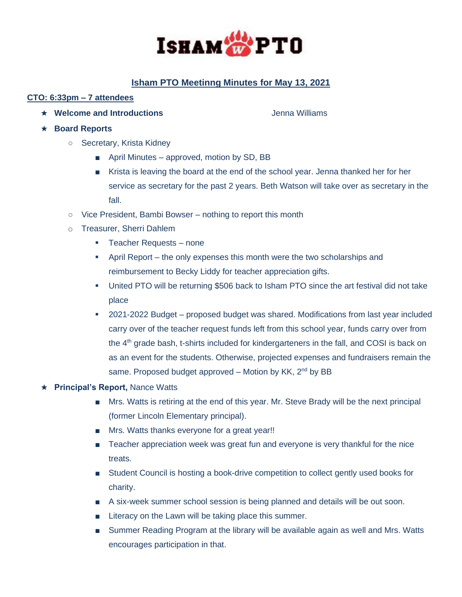

# **Isham PTO Meetinng Minutes for May 13, 2021**

# **CTO: 6:33pm – 7 attendees**

★ Welcome and Introductions **Controllering and Introductions** and **Jenna Williams** 

- ★ **Board Reports**
	- Secretary, Krista Kidney
		- April Minutes approved, motion by SD, BB
		- Krista is leaving the board at the end of the school year. Jenna thanked her for her service as secretary for the past 2 years. Beth Watson will take over as secretary in the fall.
	- Vice President, Bambi Bowser nothing to report this month
	- o Treasurer, Sherri Dahlem
		- Teacher Requests none
		- **•** April Report the only expenses this month were the two scholarships and reimbursement to Becky Liddy for teacher appreciation gifts.
		- United PTO will be returning \$506 back to Isham PTO since the art festival did not take place
		- 2021-2022 Budget proposed budget was shared. Modifications from last year included carry over of the teacher request funds left from this school year, funds carry over from the 4<sup>th</sup> grade bash, t-shirts included for kindergarteners in the fall, and COSI is back on as an event for the students. Otherwise, projected expenses and fundraisers remain the same. Proposed budget approved  $-$  Motion by KK,  $2^{nd}$  by BB

#### ★ **Principal's Report,** Nance Watts

- Mrs. Watts is retiring at the end of this year. Mr. Steve Brady will be the next principal (former Lincoln Elementary principal).
- Mrs. Watts thanks everyone for a great year!!
- Teacher appreciation week was great fun and everyone is very thankful for the nice treats.
- Student Council is hosting a book-drive competition to collect gently used books for charity.
- A six-week summer school session is being planned and details will be out soon.
- Literacy on the Lawn will be taking place this summer.
- Summer Reading Program at the library will be available again as well and Mrs. Watts encourages participation in that.